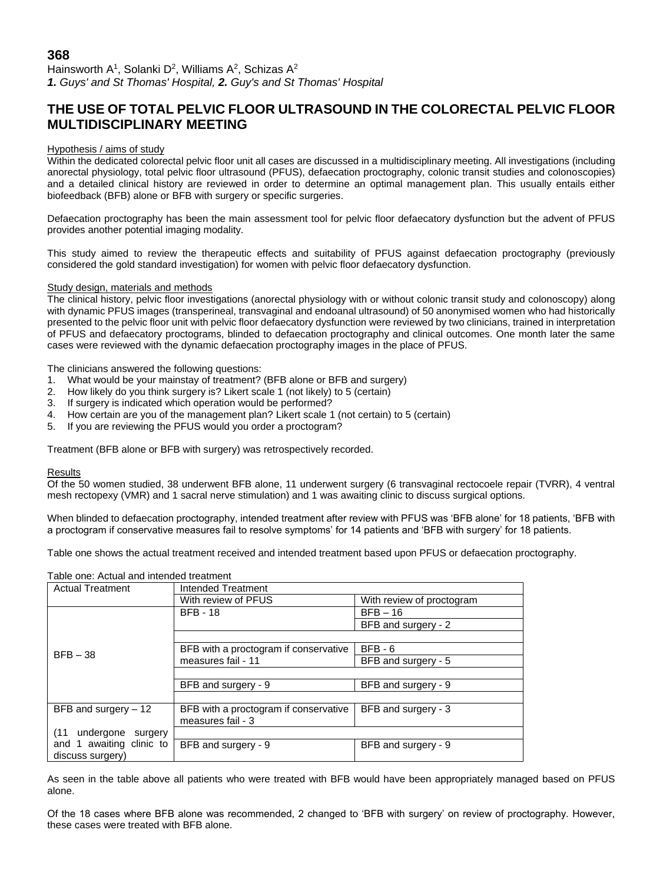Hainsworth A<sup>1</sup>, Solanki D<sup>2</sup>, Williams A<sup>2</sup>, Schizas A<sup>2</sup> *1. Guys' and St Thomas' Hospital, 2. Guy's and St Thomas' Hospital*

# **THE USE OF TOTAL PELVIC FLOOR ULTRASOUND IN THE COLORECTAL PELVIC FLOOR MULTIDISCIPLINARY MEETING**

### Hypothesis / aims of study

Within the dedicated colorectal pelvic floor unit all cases are discussed in a multidisciplinary meeting. All investigations (including anorectal physiology, total pelvic floor ultrasound (PFUS), defaecation proctography, colonic transit studies and colonoscopies) and a detailed clinical history are reviewed in order to determine an optimal management plan. This usually entails either biofeedback (BFB) alone or BFB with surgery or specific surgeries.

Defaecation proctography has been the main assessment tool for pelvic floor defaecatory dysfunction but the advent of PFUS provides another potential imaging modality.

This study aimed to review the therapeutic effects and suitability of PFUS against defaecation proctography (previously considered the gold standard investigation) for women with pelvic floor defaecatory dysfunction.

## Study design, materials and methods

The clinical history, pelvic floor investigations (anorectal physiology with or without colonic transit study and colonoscopy) along with dynamic PFUS images (transperineal, transvaginal and endoanal ultrasound) of 50 anonymised women who had historically presented to the pelvic floor unit with pelvic floor defaecatory dysfunction were reviewed by two clinicians, trained in interpretation of PFUS and defaecatory proctograms, blinded to defaecation proctography and clinical outcomes. One month later the same cases were reviewed with the dynamic defaecation proctography images in the place of PFUS.

The clinicians answered the following questions:

- 1. What would be your mainstay of treatment? (BFB alone or BFB and surgery)
- 2. How likely do you think surgery is? Likert scale 1 (not likely) to 5 (certain)
- 3. If surgery is indicated which operation would be performed?
- 4. How certain are you of the management plan? Likert scale 1 (not certain) to 5 (certain)
- 5. If you are reviewing the PFUS would you order a proctogram?

Treatment (BFB alone or BFB with surgery) was retrospectively recorded.

#### **Results**

Of the 50 women studied, 38 underwent BFB alone, 11 underwent surgery (6 transvaginal rectocoele repair (TVRR), 4 ventral mesh rectopexy (VMR) and 1 sacral nerve stimulation) and 1 was awaiting clinic to discuss surgical options.

When blinded to defaecation proctography, intended treatment after review with PFUS was 'BFB alone' for 18 patients, 'BFB with a proctogram if conservative measures fail to resolve symptoms' for 14 patients and 'BFB with surgery' for 18 patients.

Table one shows the actual treatment received and intended treatment based upon PFUS or defaecation proctography.

| <b>Actual Treatment</b>   | Intended Treatment                    |                           |
|---------------------------|---------------------------------------|---------------------------|
|                           | With review of PFUS                   | With review of proctogram |
|                           | <b>BFB - 18</b>                       | $BFB - 16$                |
|                           |                                       | BFB and surgery - 2       |
|                           |                                       |                           |
| $BFB - 38$                | BFB with a proctogram if conservative | $BFB - 6$                 |
|                           | measures fail - 11                    | BFB and surgery - 5       |
|                           |                                       |                           |
|                           | BFB and surgery - 9                   | BFB and surgery - 9       |
|                           |                                       |                           |
| BFB and surgery $-12$     | BFB with a proctogram if conservative | BFB and surgery - 3       |
|                           | measures fail - 3                     |                           |
| (11)<br>undergone surgery |                                       |                           |
| and 1 awaiting clinic to  | BFB and surgery - 9                   | BFB and surgery - 9       |
| discuss surgery)          |                                       |                           |

Table one: Actual and intended treatment

As seen in the table above all patients who were treated with BFB would have been appropriately managed based on PFUS alone.

Of the 18 cases where BFB alone was recommended, 2 changed to 'BFB with surgery' on review of proctography. However, these cases were treated with BFB alone.